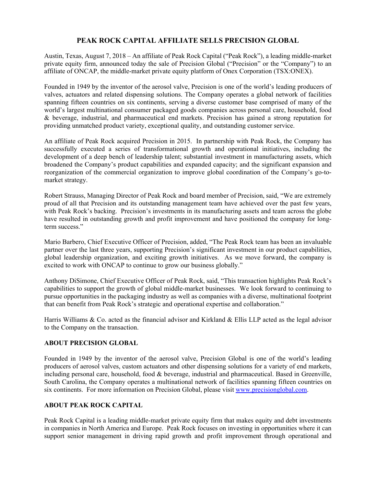## **PEAK ROCK CAPITAL AFFILIATE SELLS PRECISION GLOBAL**

Austin, Texas, August 7, 2018 – An affiliate of Peak Rock Capital ("Peak Rock"), a leading middle-market private equity firm, announced today the sale of Precision Global ("Precision" or the "Company") to an affiliate of ONCAP, the middle-market private equity platform of Onex Corporation (TSX:ONEX).

Founded in 1949 by the inventor of the aerosol valve, Precision is one of the world's leading producers of valves, actuators and related dispensing solutions. The Company operates a global network of facilities spanning fifteen countries on six continents, serving a diverse customer base comprised of many of the world's largest multinational consumer packaged goods companies across personal care, household, food & beverage, industrial, and pharmaceutical end markets. Precision has gained a strong reputation for providing unmatched product variety, exceptional quality, and outstanding customer service.

An affiliate of Peak Rock acquired Precision in 2015. In partnership with Peak Rock, the Company has successfully executed a series of transformational growth and operational initiatives, including the development of a deep bench of leadership talent; substantial investment in manufacturing assets, which broadened the Company's product capabilities and expanded capacity; and the significant expansion and reorganization of the commercial organization to improve global coordination of the Company's go-tomarket strategy.

Robert Strauss, Managing Director of Peak Rock and board member of Precision, said, "We are extremely proud of all that Precision and its outstanding management team have achieved over the past few years, with Peak Rock's backing. Precision's investments in its manufacturing assets and team across the globe have resulted in outstanding growth and profit improvement and have positioned the company for longterm success."

Mario Barbero, Chief Executive Officer of Precision, added, "The Peak Rock team has been an invaluable partner over the last three years, supporting Precision's significant investment in our product capabilities, global leadership organization, and exciting growth initiatives. As we move forward, the company is excited to work with ONCAP to continue to grow our business globally."

Anthony DiSimone, Chief Executive Officer of Peak Rock, said, "This transaction highlights Peak Rock's capabilities to support the growth of global middle-market businesses. We look forward to continuing to pursue opportunities in the packaging industry as well as companies with a diverse, multinational footprint that can benefit from Peak Rock's strategic and operational expertise and collaboration."

Harris Williams & Co. acted as the financial advisor and Kirkland & Ellis LLP acted as the legal advisor to the Company on the transaction.

## **ABOUT PRECISION GLOBAL**

Founded in 1949 by the inventor of the aerosol valve, Precision Global is one of the world's leading producers of aerosol valves, custom actuators and other dispensing solutions for a variety of end markets, including personal care, household, food & beverage, industrial and pharmaceutical. Based in Greenville, South Carolina, the Company operates a multinational network of facilities spanning fifteen countries on six continents. For more information on Precision Global, please visit www.precisionglobal.com.

## **ABOUT PEAK ROCK CAPITAL**

Peak Rock Capital is a leading middle-market private equity firm that makes equity and debt investments in companies in North America and Europe. Peak Rock focuses on investing in opportunities where it can support senior management in driving rapid growth and profit improvement through operational and